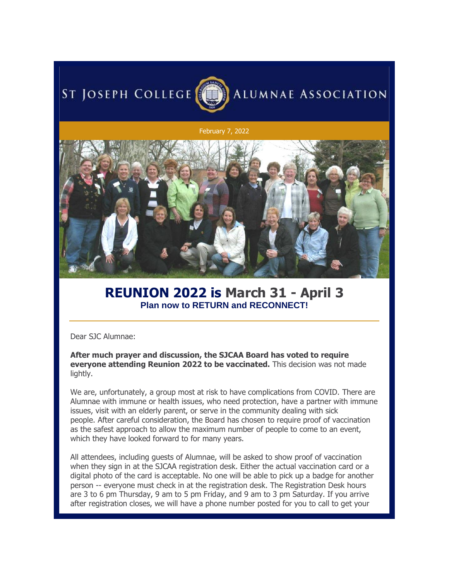## ST JOSEPH COLLEGE



## February 7, 2022



## **REUNION 2022 is March 31 - April 3 Plan now to RETURN and RECONNECT!**

Dear SJC Alumnae:

**After much prayer and discussion, the SJCAA Board has voted to require everyone attending Reunion 2022 to be vaccinated.** This decision was not made lightly.

We are, unfortunately, a group most at risk to have complications from COVID. There are Alumnae with immune or health issues, who need protection, have a partner with immune issues, visit with an elderly parent, or serve in the community dealing with sick people. After careful consideration, the Board has chosen to require proof of vaccination as the safest approach to allow the maximum number of people to come to an event, which they have looked forward to for many years.

All attendees, including guests of Alumnae, will be asked to show proof of vaccination when they sign in at the SJCAA registration desk. Either the actual vaccination card or a digital photo of the card is acceptable. No one will be able to pick up a badge for another person -- everyone must check in at the registration desk. The Registration Desk hours are 3 to 6 pm Thursday, 9 am to 5 pm Friday, and 9 am to 3 pm Saturday. If you arrive after registration closes, we will have a phone number posted for you to call to get your